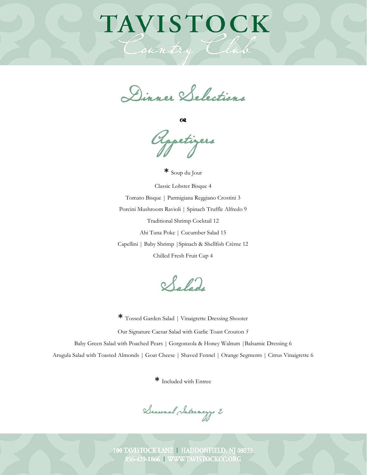# TAVISTOCK

Country

Dinner Selections

œ

Appetizers

**\*** Soup du Jour Classic Lobster Bisque 4 Tomato Bisque | Parmigiana Reggiano Crostini 3 Porcini Mushroom Ravioli | Spinach Truffle Alfredo 9 Traditional Shrimp Cocktail 12 Ahi Tuna Poke | Cucumber Salad 15 Capellini | Baby Shrimp |Spinach & Shellfish Crème 12 Chilled Fresh Fruit Cup 4

Salads

**\*** Tossed Garden Salad | Vinaigrette Dressing Shooter Our Signature Caesar Salad with Garlic Toast Crouton *5* Baby Green Salad with Poached Pears | Gorgonzola & Honey Walnuts |Balsamic Dressing 6 Arugula Salad with Toasted Almonds | Goat Cheese | Shaved Fennel | Orange Segments | Citrus Vinaigrette 6

**\*** Included with Entree

Seasonal Intermezzo 2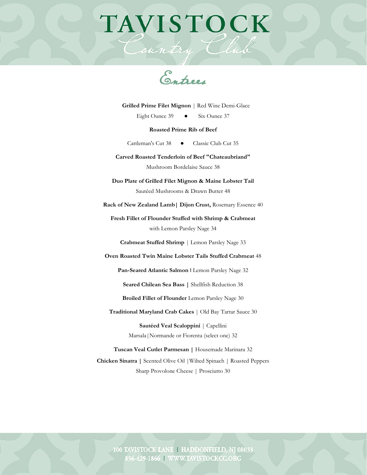## TAVISTOCK

Country Clu

 **Grilled Prime Filet Mignon** | Red Wine Demi-Glace

Eight Ounce 39 ● Six Ounce 37

#### **Roasted Prime Rib of Beef**

Cattleman's Cut 38 <br> **Classic Club Cut 35** 

**Carved Roasted Tenderloin of Beef "Chateaubriand"**  Mushroom Bordelaise Sauce 38

**Duo Plate of Grilled Filet Mignon & Maine Lobster Tail**  Sautéed Mushrooms & Drawn Butter 48

**Rack of New Zealand Lamb| Dijon Crust,** Rosemary Essence 40

**Fresh Fillet of Flounder Stuffed with Shrimp & Crabmeat**  with Lemon Parsley Nage 34

**Crabmeat Stuffed Shrimp** *|* Lemon Parsley Nage 33

**Oven Roasted Twin Maine Lobster Tails Stuffed Crabmeat** 48

**Pan-Seared Atlantic Salmon** I Lemon Parsley Nage 32

**Seared Chilean Sea Bass |** Shellfish Reduction 38

**Broiled Fillet of Flounder** Lemon Parsley Nage 30

**Traditional Maryland Crab Cakes** | Old Bay Tartar Sauce 30

**Sautéed Veal Scaloppini** | Capellini Marsala|Normande or Fiorenta (select one) 32

**Tuscan Veal Cutlet Parmesan |** Housemade Marinara 32 **Chicken Sinatra |** Scented Olive Oil |Wilted Spinach | Roasted Peppers Sharp Provolone Cheese | Prosciutto 30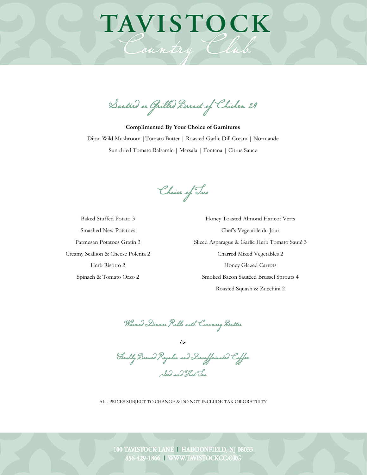### Sautéed or Grilled Breast of Chicken 29

**TAVISTOCK** 

Country Club

**Complimented By Your Choice of Garnitures** Dijon Wild Mushroom |Tomato Butter | Roasted Garlic Dill Cream | Normande Sun-dried Tomato Balsamic | Marsala | Fontana | Citrus Sauce

Choice of Two

Baked Stuffed Potato 3 Smashed New Potatoes Parmesan Potatoes Gratin 3 Creamy Scallion & Cheese Polenta 2 Herb Risotto 2 Spinach & Tomato Orzo 2

Honey Toasted Almond Haricot Verts Chef's Vegetable du Jour Sliced Asparagus & Garlic Herb Tomato Sauté 3 Charred Mixed Vegetables 2 Honey Glazed Carrots Smoked Bacon Sautéed Brussel Sprouts 4 Roasted Squash & Zucchini 2

Warmed Dinner Rolls with Creamery Butter

ঔ Freshly Brewed Regular and Decaffeinated Coffee Iced and Hot Tea

ALL PRICES SUBJECT TO CHANGE & DO NOT INCLUDE TAX OR GRATUITY